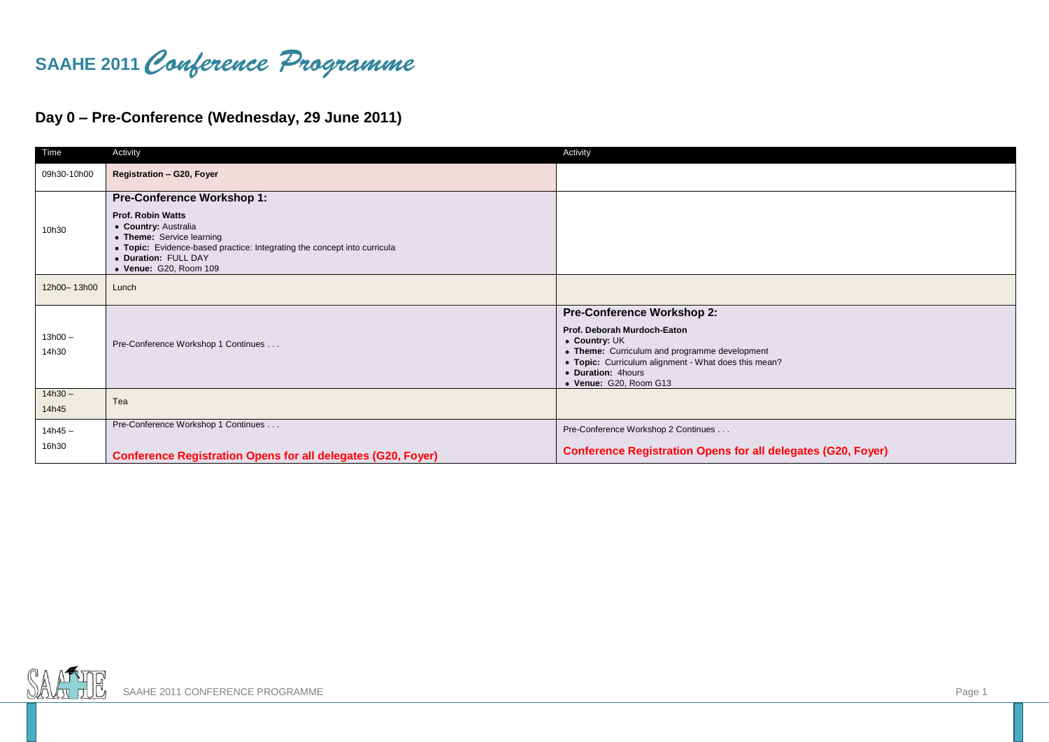# SAAHE 2011 Conference Programme

#### **Day 0 – Pre-Conference (Wednesday, 29 June 2011)**

| Time               | Activity                                                                                                                                                                                                                                         | Activity                                                                                                                                                                                                                                   |
|--------------------|--------------------------------------------------------------------------------------------------------------------------------------------------------------------------------------------------------------------------------------------------|--------------------------------------------------------------------------------------------------------------------------------------------------------------------------------------------------------------------------------------------|
| 09h30-10h00        | Registration - G20, Foyer                                                                                                                                                                                                                        |                                                                                                                                                                                                                                            |
| 10h30              | <b>Pre-Conference Workshop 1:</b><br><b>Prof. Robin Watts</b><br>• Country: Australia<br>• Theme: Service learning<br>• Topic: Evidence-based practice: Integrating the concept into curricula<br>• Duration: FULL DAY<br>• Venue: G20, Room 109 |                                                                                                                                                                                                                                            |
| 12h00-13h00        | Lunch                                                                                                                                                                                                                                            |                                                                                                                                                                                                                                            |
| $13h00 -$<br>14h30 | Pre-Conference Workshop 1 Continues                                                                                                                                                                                                              | <b>Pre-Conference Workshop 2:</b><br>Prof. Deborah Murdoch-Eaton<br>• Country: UK<br>• Theme: Curriculum and programme development<br>• Topic: Curriculum alignment - What does this mean?<br>• Duration: 4hours<br>• Venue: G20, Room G13 |
| $14h30 -$<br>14h45 | Tea                                                                                                                                                                                                                                              |                                                                                                                                                                                                                                            |
| $14h45 -$<br>16h30 | Pre-Conference Workshop 1 Continues<br><b>Conference Registration Opens for all delegates (G20, Foyer)</b>                                                                                                                                       | Pre-Conference Workshop 2 Continues<br><b>Conference Registration Opens for all delegates (G20, Foyer)</b>                                                                                                                                 |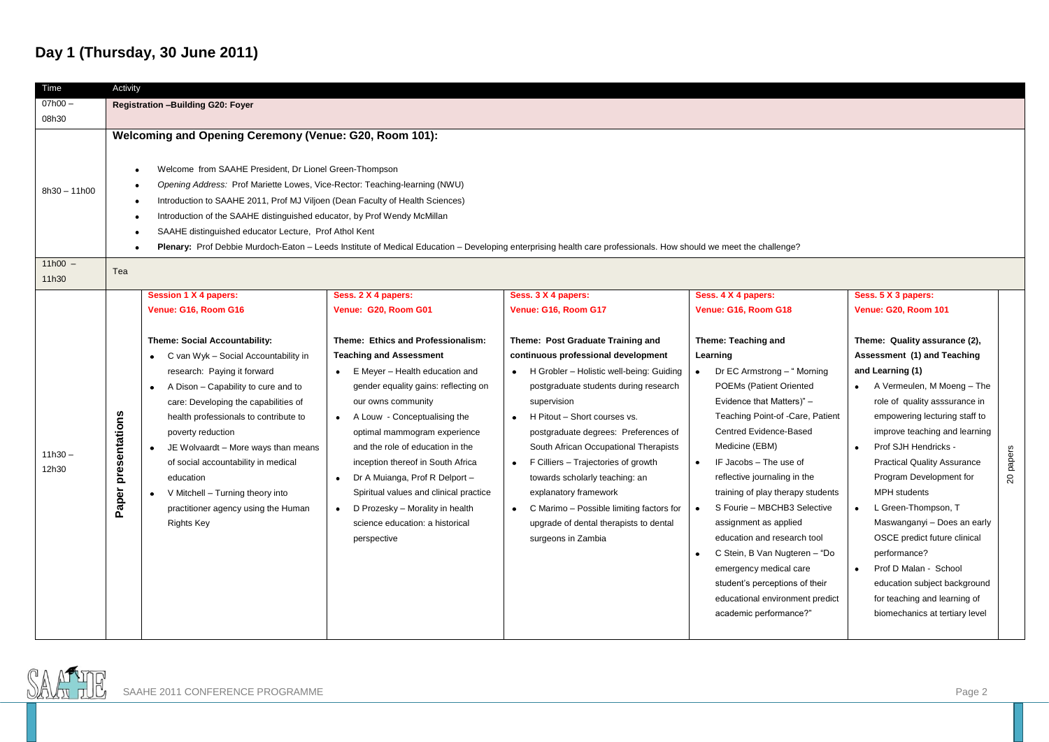## **Day 1 (Thursday, 30 June 2011)**

| Time               | Activity                                                                                                                                                                                                                                                                                                                                                                                                                                                                                                                                                                                 |                                                                                                                                                                                                                                                                                                                                                                                                                                                                                                                                                                                |                                                                                                                                                                                                                                                                                                                                                                                                                                                                                                                                                                                        |                                                                                                                                                                                                                                                                                                                                                                                                                                                                                                                                                                                                       |                                                                                                                                                                                                                                                                                                                                                                                                                                                                                                                                                                                                                          |                           |  |  |  |  |
|--------------------|------------------------------------------------------------------------------------------------------------------------------------------------------------------------------------------------------------------------------------------------------------------------------------------------------------------------------------------------------------------------------------------------------------------------------------------------------------------------------------------------------------------------------------------------------------------------------------------|--------------------------------------------------------------------------------------------------------------------------------------------------------------------------------------------------------------------------------------------------------------------------------------------------------------------------------------------------------------------------------------------------------------------------------------------------------------------------------------------------------------------------------------------------------------------------------|----------------------------------------------------------------------------------------------------------------------------------------------------------------------------------------------------------------------------------------------------------------------------------------------------------------------------------------------------------------------------------------------------------------------------------------------------------------------------------------------------------------------------------------------------------------------------------------|-------------------------------------------------------------------------------------------------------------------------------------------------------------------------------------------------------------------------------------------------------------------------------------------------------------------------------------------------------------------------------------------------------------------------------------------------------------------------------------------------------------------------------------------------------------------------------------------------------|--------------------------------------------------------------------------------------------------------------------------------------------------------------------------------------------------------------------------------------------------------------------------------------------------------------------------------------------------------------------------------------------------------------------------------------------------------------------------------------------------------------------------------------------------------------------------------------------------------------------------|---------------------------|--|--|--|--|
| 07h00-             | Registration -Building G20: Foyer                                                                                                                                                                                                                                                                                                                                                                                                                                                                                                                                                        |                                                                                                                                                                                                                                                                                                                                                                                                                                                                                                                                                                                |                                                                                                                                                                                                                                                                                                                                                                                                                                                                                                                                                                                        |                                                                                                                                                                                                                                                                                                                                                                                                                                                                                                                                                                                                       |                                                                                                                                                                                                                                                                                                                                                                                                                                                                                                                                                                                                                          |                           |  |  |  |  |
| 08h30              |                                                                                                                                                                                                                                                                                                                                                                                                                                                                                                                                                                                          |                                                                                                                                                                                                                                                                                                                                                                                                                                                                                                                                                                                |                                                                                                                                                                                                                                                                                                                                                                                                                                                                                                                                                                                        |                                                                                                                                                                                                                                                                                                                                                                                                                                                                                                                                                                                                       |                                                                                                                                                                                                                                                                                                                                                                                                                                                                                                                                                                                                                          |                           |  |  |  |  |
| $8h30 - 11h00$     | Welcoming and Opening Ceremony (Venue: G20, Room 101):<br>Welcome from SAAHE President, Dr Lionel Green-Thompson<br>Opening Address: Prof Mariette Lowes, Vice-Rector: Teaching-learning (NWU)<br>Introduction to SAAHE 2011, Prof MJ Viljoen (Dean Faculty of Health Sciences)<br>Introduction of the SAAHE distinguished educator, by Prof Wendy McMillan<br>SAAHE distinguished educator Lecture, Prof Athol Kent<br>Plenary: Prof Debbie Murdoch-Eaton - Leeds Institute of Medical Education - Developing enterprising health care professionals. How should we meet the challenge? |                                                                                                                                                                                                                                                                                                                                                                                                                                                                                                                                                                                |                                                                                                                                                                                                                                                                                                                                                                                                                                                                                                                                                                                        |                                                                                                                                                                                                                                                                                                                                                                                                                                                                                                                                                                                                       |                                                                                                                                                                                                                                                                                                                                                                                                                                                                                                                                                                                                                          |                           |  |  |  |  |
| $11h00 -$<br>11h30 | Tea                                                                                                                                                                                                                                                                                                                                                                                                                                                                                                                                                                                      |                                                                                                                                                                                                                                                                                                                                                                                                                                                                                                                                                                                |                                                                                                                                                                                                                                                                                                                                                                                                                                                                                                                                                                                        |                                                                                                                                                                                                                                                                                                                                                                                                                                                                                                                                                                                                       |                                                                                                                                                                                                                                                                                                                                                                                                                                                                                                                                                                                                                          |                           |  |  |  |  |
| $11h30 -$<br>12h30 | Session 1 X 4 papers:<br>Venue: G16, Room G16<br>Theme: Social Accountability:<br>C van Wyk - Social Accountability in<br>research: Paying it forward<br>A Dison - Capability to cure and to<br>$\bullet$<br>care: Developing the capabilities of<br>Paper presentations<br>health professionals to contribute to<br>poverty reduction<br>JE Wolvaardt - More ways than means<br>of social accountability in medical<br>education<br>V Mitchell - Turning theory into<br>practitioner agency using the Human<br>Rights Key                                                               | Sess. 2 X 4 papers:<br>Venue: G20, Room G01<br>Theme: Ethics and Professionalism:<br><b>Teaching and Assessment</b><br>$\bullet$ E Meyer – Health education and<br>gender equality gains: reflecting on<br>our owns community<br>A Louw - Conceptualising the<br>$\bullet$<br>optimal mammogram experience<br>and the role of education in the<br>inception thereof in South Africa<br>Dr A Muianga, Prof R Delport -<br>$\bullet$<br>Spiritual values and clinical practice<br>D Prozesky - Morality in health<br>$\bullet$<br>science education: a historical<br>perspective | Sess. 3 X 4 papers:<br>Venue: G16, Room G17<br>Theme: Post Graduate Training and<br>continuous professional development<br>• H Grobler - Holistic well-being: Guiding<br>postgraduate students during research<br>supervision<br>H Pitout - Short courses vs.<br>postgraduate degrees: Preferences of<br>South African Occupational Therapists<br>F Cilliers - Trajectories of growth<br>$\bullet$<br>towards scholarly teaching: an<br>explanatory framework<br>C Marimo - Possible limiting factors for<br>$\bullet$<br>upgrade of dental therapists to dental<br>surgeons in Zambia | Sess. 4 X 4 papers:<br>Venue: G16, Room G18<br>Theme: Teaching and<br>Learning<br>Dr EC Armstrong - " Morning<br>POEMs (Patient Oriented<br>Evidence that Matters)" -<br>Teaching Point-of -Care, Patient<br>Centred Evidence-Based<br>Medicine (EBM)<br>IF Jacobs - The use of<br>reflective journaling in the<br>training of play therapy students<br>S Fourie - MBCHB3 Selective<br>assignment as applied<br>education and research tool<br>C Stein, B Van Nugteren - "Do<br>emergency medical care<br>student's perceptions of their<br>educational environment predict<br>academic performance?" | Sess. 5 X 3 papers:<br><b>Venue: G20, Room 101</b><br>Theme: Quality assurance (2),<br>Assessment (1) and Teaching<br>and Learning (1)<br>A Vermeulen, M Moeng - The<br>role of quality asssurance in<br>empowering lecturing staff to<br>improve teaching and learning<br>Prof SJH Hendricks -<br><b>Practical Quality Assurance</b><br>Program Development for<br><b>MPH</b> students<br>L Green-Thompson, T<br>Maswanganyi - Does an early<br>OSCE predict future clinical<br>performance?<br>Prof D Malan - School<br>education subject background<br>for teaching and learning of<br>biomechanics at tertiary level | papers<br>$\overline{20}$ |  |  |  |  |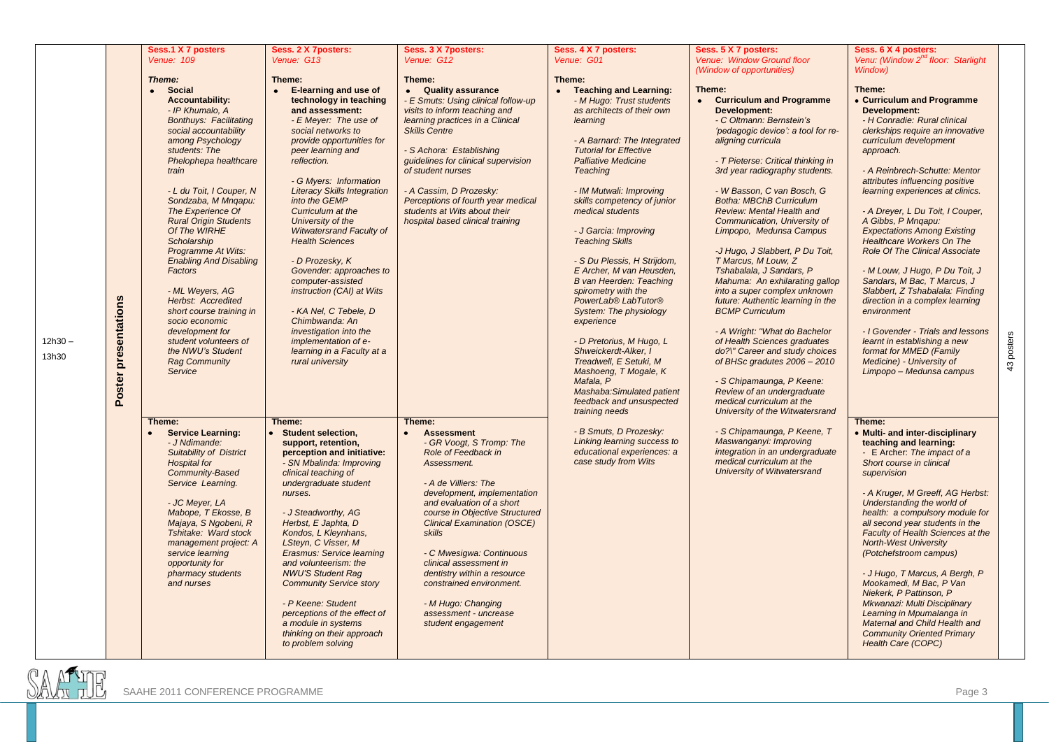|         |               | Sess.1 X 7 posters                              | Sess. 2 X 7posters:                                | Sess. 3 X 7posters:                                        | Sess. 4 X 7 posters:                                                   | Sess. 5 X 7 posters:                                                 | Sess. 6 X 4 posters:                                                   |            |
|---------|---------------|-------------------------------------------------|----------------------------------------------------|------------------------------------------------------------|------------------------------------------------------------------------|----------------------------------------------------------------------|------------------------------------------------------------------------|------------|
|         |               | <b>Venue: 109</b>                               | Venue: G13                                         | Venue: G12                                                 | Venue: G01                                                             | Venue: Window Ground floor                                           | Venu: (Window 2 <sup>nd</sup> floor: Starlight                         |            |
|         |               |                                                 |                                                    |                                                            |                                                                        | (Window of opportunities)                                            | <b>Window</b> )                                                        |            |
|         |               | Theme:                                          | Theme:                                             | Theme:                                                     | Theme:                                                                 |                                                                      | Theme:                                                                 |            |
|         |               | Social<br>$\bullet$<br><b>Accountability:</b>   | E-learning and use of<br>technology in teaching    | • Quality assurance<br>- E Smuts: Using clinical follow-up | <b>Teaching and Learning:</b><br>$\bullet$<br>- M Hugo: Trust students | Theme:<br><b>Curriculum and Programme</b><br>$\bullet$               | • Curriculum and Programme                                             |            |
|         |               | - IP Khumalo, A                                 | and assessment:                                    | visits to inform teaching and                              | as architects of their own                                             | Development:                                                         | Development:                                                           |            |
|         |               | <b>Bonthuys: Facilitating</b>                   | - E Meyer: The use of                              | learning practices in a Clinical                           | learning                                                               | - C Oltmann: Bernstein's                                             | - H Conradie: Rural clinical                                           |            |
|         |               | social accountability                           | social networks to                                 | <b>Skills Centre</b>                                       |                                                                        | 'pedagogic device': a tool for re-                                   | clerkships require an innovative                                       |            |
|         |               | among Psychology                                | provide opportunities for                          |                                                            | - A Barnard: The Integrated                                            | aligning curricula                                                   | curriculum development                                                 |            |
|         |               | students: The                                   | peer learning and                                  | - S Achora: Establishing                                   | <b>Tutorial for Effective</b>                                          |                                                                      | approach.                                                              |            |
|         |               | Phelophepa healthcare<br>train                  | reflection.                                        | guidelines for clinical supervision<br>of student nurses   | <b>Palliative Medicine</b><br><b>Teaching</b>                          | - T Pieterse: Critical thinking in<br>3rd year radiography students. | - A Reinbrech-Schutte: Mentor                                          |            |
|         |               |                                                 | - G Myers: Information                             |                                                            |                                                                        |                                                                      | attributes influencing positive                                        |            |
|         |               | - L du Toit, I Couper, N                        | <b>Literacy Skills Integration</b>                 | - A Cassim, D Prozesky:                                    | - IM Mutwali: Improving                                                | - W Basson, C van Bosch, G                                           | learning experiences at clinics.                                       |            |
|         |               | Sondzaba, M Mngapu:                             | into the GEMP                                      | Perceptions of fourth year medical                         | skills competency of junior                                            | <b>Botha: MBChB Curriculum</b>                                       |                                                                        |            |
|         |               | The Experience Of                               | Curriculum at the                                  | students at Wits about their                               | medical students                                                       | Review: Mental Health and                                            | - A Dreyer, L Du Toit, I Couper,                                       |            |
|         |               | <b>Rural Origin Students</b>                    | University of the                                  | hospital based clinical training                           |                                                                        | Communication, University of                                         | A Gibbs, P Mngapu:                                                     |            |
|         |               | Of The WIRHE<br>Scholarship                     | Witwatersrand Faculty of<br><b>Health Sciences</b> |                                                            | - J Garcia: Improving<br><b>Teaching Skills</b>                        | Limpopo, Medunsa Campus                                              | <b>Expectations Among Existing</b><br><b>Healthcare Workers On The</b> |            |
|         |               | Programme At Wits:                              |                                                    |                                                            |                                                                        | -J Hugo, J Slabbert, P Du Toit,                                      | Role Of The Clinical Associate                                         |            |
|         |               | <b>Enabling And Disabling</b>                   | - D Prozesky, K                                    |                                                            | - S Du Plessis, H Strijdom,                                            | T Marcus, M Louw, Z                                                  |                                                                        |            |
|         |               | Factors                                         | Govender: approaches to                            |                                                            | E Archer, M van Heusden,                                               | Tshabalala, J Sandars, P                                             | - M Louw, J Hugo, P Du Toit, J                                         |            |
|         |               |                                                 | computer-assisted                                  |                                                            | B van Heerden: Teaching                                                | Mahuma: An exhilarating gallop                                       | Sandars, M Bac, T Marcus, J                                            |            |
|         |               | - ML Weyers, AG<br>Herbst: Accredited           | instruction (CAI) at Wits                          |                                                            | spirometry with the<br>PowerLab <sup>®</sup> LabTutor <sup>®</sup>     | into a super complex unknown<br>future: Authentic learning in the    | Slabbert. Z Tshabalala: Finding<br>direction in a complex learning     |            |
|         |               | short course training in                        | - KA Nel, C Tebele, D                              |                                                            | System: The physiology                                                 | <b>BCMP Curriculum</b>                                               | environment                                                            |            |
|         |               | socio economic                                  | Chimbwanda: An                                     |                                                            | experience                                                             |                                                                      |                                                                        |            |
|         |               | development for                                 | investigation into the                             |                                                            |                                                                        | - A Wright: "What do Bachelor                                        | - I Govender - Trials and lessons                                      |            |
| 12h30 – | presentations | student volunteers of                           | implementation of e-                               |                                                            | - D Pretorius, M Hugo, L                                               | of Health Sciences graduates                                         | learnt in establishing a new                                           | 43 posters |
| 13h30   |               | the NWU's Student<br><b>Rag Community</b>       | learning in a Faculty at a<br>rural university     |                                                            | Shweickerdt-Alker. I<br>Treadwell, E Setuki, M                         | do?\" Career and study choices<br>of BHSc gradutes 2006 - 2010       | format for MMED (Family<br>Medicine) - University of                   |            |
|         |               | Service                                         |                                                    |                                                            | Mashoeng, T Mogale, K                                                  |                                                                      | Limpopo - Medunsa campus                                               |            |
|         |               |                                                 |                                                    |                                                            | Mafala. P                                                              | - S Chipamaunga, P Keene:                                            |                                                                        |            |
|         | Poster        |                                                 |                                                    |                                                            | Mashaba: Simulated patient                                             | Review of an undergraduate                                           |                                                                        |            |
|         |               |                                                 |                                                    |                                                            | feedback and unsuspected                                               | medical curriculum at the                                            |                                                                        |            |
|         |               |                                                 |                                                    |                                                            | training needs                                                         | University of the Witwatersrand                                      |                                                                        |            |
|         |               | Theme:<br><b>Service Learning:</b><br>$\bullet$ | Theme:<br><b>Student selection,</b>                | Theme:<br><b>Assessment</b>                                | - B Smuts, D Prozesky:                                                 | - S Chipamaunga, P Keene, T                                          | Theme:<br>• Multi- and inter-disciplinary                              |            |
|         |               | - J Ndimande:                                   | support, retention,                                | - GR Voogt, S Tromp: The                                   | Linking learning success to                                            | Maswanganyi: Improving                                               | teaching and learning:                                                 |            |
|         |               | <b>Suitability of District</b>                  | perception and initiative:                         | Role of Feedback in                                        | educational experiences: a                                             | integration in an undergraduate                                      | - E Archer: The impact of a                                            |            |
|         |               | <b>Hospital for</b>                             | - SN Mbalinda: Improving                           | Assessment.                                                | case study from Wits                                                   | medical curriculum at the                                            | Short course in clinical                                               |            |
|         |               | <b>Community-Based</b>                          | clinical teaching of                               |                                                            |                                                                        | University of Witwatersrand                                          | supervision                                                            |            |
|         |               | Service Learning.                               | undergraduate student                              | - A de Villiers: The                                       |                                                                        |                                                                      |                                                                        |            |
|         |               | - JC Meyer, LA                                  | nurses.                                            | development, implementation<br>and evaluation of a short   |                                                                        |                                                                      | - A Kruger, M Greeff, AG Herbst:<br>Understanding the world of         |            |
|         |               | Mabope, T Ekosse, B                             | - J Steadworthy, AG                                | course in Objective Structured                             |                                                                        |                                                                      | health: a compulsory module for                                        |            |
|         |               | Majaya, S Ngobeni, R                            | Herbst, E Japhta, D                                | <b>Clinical Examination (OSCE)</b>                         |                                                                        |                                                                      | all second year students in the                                        |            |
|         |               | Tshitake: Ward stock                            | Kondos, L Kleynhans,                               | skills                                                     |                                                                        |                                                                      | Faculty of Health Sciences at the                                      |            |
|         |               | management project: A                           | LSteyn, C Visser, M                                |                                                            |                                                                        |                                                                      | <b>North-West University</b>                                           |            |
|         |               | service learning                                | Erasmus: Service learning                          | - C Mwesigwa: Continuous                                   |                                                                        |                                                                      | (Potchefstroom campus)                                                 |            |
|         |               | opportunity for<br>pharmacy students            | and volunteerism: the<br><b>NWU'S Student Rag</b>  | clinical assessment in<br>dentistry within a resource      |                                                                        |                                                                      | - J Hugo, T Marcus, A Bergh, P                                         |            |
|         |               | and nurses                                      | <b>Community Service story</b>                     | constrained environment.                                   |                                                                        |                                                                      | Mookamedi, M Bac, P Van                                                |            |
|         |               |                                                 |                                                    |                                                            |                                                                        |                                                                      | Niekerk, P Pattinson, P                                                |            |
|         |               |                                                 | - P Keene: Student                                 | - M Hugo: Changing                                         |                                                                        |                                                                      | Mkwanazi: Multi Disciplinary                                           |            |
|         |               |                                                 | perceptions of the effect of                       | assessment - uncrease                                      |                                                                        |                                                                      | Learning in Mpumalanga in                                              |            |
|         |               |                                                 | a module in systems<br>thinking on their approach  | student engagement                                         |                                                                        |                                                                      | Maternal and Child Health and<br><b>Community Oriented Primary</b>     |            |
|         |               |                                                 | to problem solving                                 |                                                            |                                                                        |                                                                      | Health Care (COPC)                                                     |            |
|         |               |                                                 |                                                    |                                                            |                                                                        |                                                                      |                                                                        |            |

SAAHE 2011 CONFERENCE PROGRAMME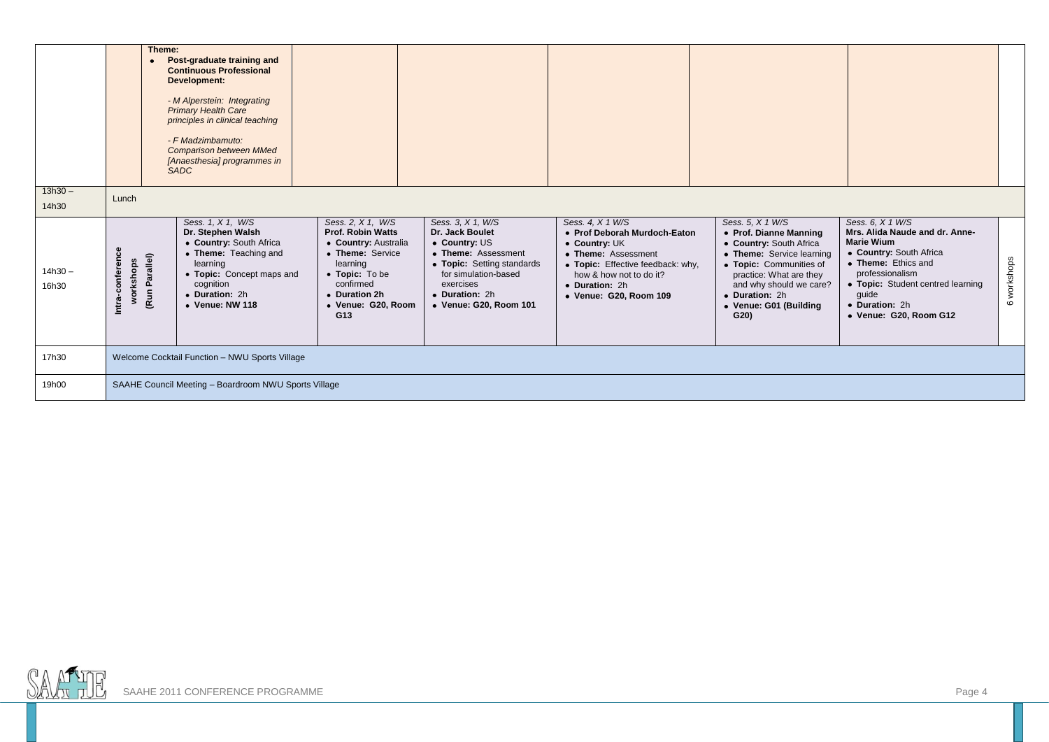|                    |                                                      | Theme:                                         | Post-graduate training and<br><b>Continuous Professional</b><br>Development:<br>- M Alperstein: Integrating<br><b>Primary Health Care</b><br>principles in clinical teaching<br>- F Madzimbamuto:<br><b>Comparison between MMed</b><br>[Anaesthesia] programmes in<br><b>SADC</b> |                                                                                                                                                                                    |                                                                                                                                                                                             |                                                                                                                                                                                                      |                                                                                                                                                                                                                                          |                                                                                                                                                                                                                                        |                      |
|--------------------|------------------------------------------------------|------------------------------------------------|-----------------------------------------------------------------------------------------------------------------------------------------------------------------------------------------------------------------------------------------------------------------------------------|------------------------------------------------------------------------------------------------------------------------------------------------------------------------------------|---------------------------------------------------------------------------------------------------------------------------------------------------------------------------------------------|------------------------------------------------------------------------------------------------------------------------------------------------------------------------------------------------------|------------------------------------------------------------------------------------------------------------------------------------------------------------------------------------------------------------------------------------------|----------------------------------------------------------------------------------------------------------------------------------------------------------------------------------------------------------------------------------------|----------------------|
| $13h30 -$<br>14h30 | Lunch                                                |                                                |                                                                                                                                                                                                                                                                                   |                                                                                                                                                                                    |                                                                                                                                                                                             |                                                                                                                                                                                                      |                                                                                                                                                                                                                                          |                                                                                                                                                                                                                                        |                      |
| $14h30 -$<br>16h30 | Intra-conference<br>workshops                        | (Run Parallel)                                 | Sess. 1, X 1, W/S<br>Dr. Stephen Walsh<br>• Country: South Africa<br>• Theme: Teaching and<br>learning<br>• Topic: Concept maps and<br>cognition<br>• Duration: 2h<br>• Venue: NW 118                                                                                             | Sess. 2, X 1, W/S<br><b>Prof. Robin Watts</b><br>• Country: Australia<br>• Theme: Service<br>learning<br>• Topic: To be<br>confirmed<br>• Duration 2h<br>• Venue: G20, Room<br>G13 | Sess. 3, X 1, W/S<br>Dr. Jack Boulet<br>• Country: US<br>• Theme: Assessment<br>• Topic: Setting standards<br>for simulation-based<br>exercises<br>• Duration: 2h<br>• Venue: G20, Room 101 | Sess. 4, X 1 W/S<br>• Prof Deborah Murdoch-Eaton<br>• Country: UK<br>• Theme: Assessment<br>• Topic: Effective feedback: why,<br>how & how not to do it?<br>• Duration: 2h<br>• Venue: G20, Room 109 | Sess. 5, X 1 W/S<br>• Prof. Dianne Manning<br>• Country: South Africa<br>• Theme: Service learning<br>• Topic: Communities of<br>practice: What are they<br>and why should we care?<br>• Duration: 2h<br>• Venue: G01 (Building<br>G(20) | Sess. 6, X 1 W/S<br>Mrs. Alida Naude and dr. Anne-<br><b>Marie Wium</b><br>• Country: South Africa<br>• Theme: Ethics and<br>professionalism<br>• Topic: Student centred learning<br>guide<br>• Duration: 2h<br>• Venue: G20, Room G12 | workshops<br>$\circ$ |
| 17h30              |                                                      | Welcome Cocktail Function - NWU Sports Village |                                                                                                                                                                                                                                                                                   |                                                                                                                                                                                    |                                                                                                                                                                                             |                                                                                                                                                                                                      |                                                                                                                                                                                                                                          |                                                                                                                                                                                                                                        |                      |
| 19h00              | SAAHE Council Meeting - Boardroom NWU Sports Village |                                                |                                                                                                                                                                                                                                                                                   |                                                                                                                                                                                    |                                                                                                                                                                                             |                                                                                                                                                                                                      |                                                                                                                                                                                                                                          |                                                                                                                                                                                                                                        |                      |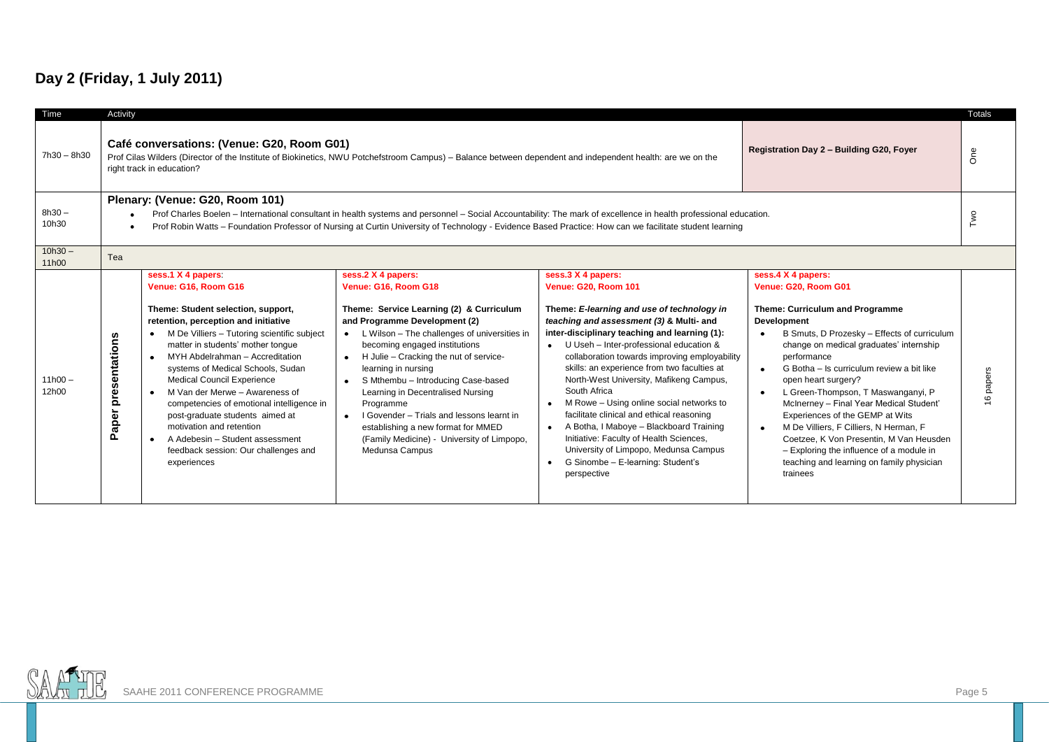#### **Day 2 (Friday, 1 July 2011)**

| Time               | Activity                                                                                                                                                                                                                                                                                                                                                                                       |                                                                                                                                                                                                                                                                                                                                                                                                                                                                                                                                                                                             |                                                                                                                                                                                                                                                                                                                                                                                                                                                                                                                                                |                                                                                                                                                                                                                                                                                                                                                                                                                                                                                                                                                                                                                                                                                  |                                                                                                                                                                                                                                                                                                                                                                                                                                                                                                                                                                                                                                | Totals    |  |  |  |  |
|--------------------|------------------------------------------------------------------------------------------------------------------------------------------------------------------------------------------------------------------------------------------------------------------------------------------------------------------------------------------------------------------------------------------------|---------------------------------------------------------------------------------------------------------------------------------------------------------------------------------------------------------------------------------------------------------------------------------------------------------------------------------------------------------------------------------------------------------------------------------------------------------------------------------------------------------------------------------------------------------------------------------------------|------------------------------------------------------------------------------------------------------------------------------------------------------------------------------------------------------------------------------------------------------------------------------------------------------------------------------------------------------------------------------------------------------------------------------------------------------------------------------------------------------------------------------------------------|----------------------------------------------------------------------------------------------------------------------------------------------------------------------------------------------------------------------------------------------------------------------------------------------------------------------------------------------------------------------------------------------------------------------------------------------------------------------------------------------------------------------------------------------------------------------------------------------------------------------------------------------------------------------------------|--------------------------------------------------------------------------------------------------------------------------------------------------------------------------------------------------------------------------------------------------------------------------------------------------------------------------------------------------------------------------------------------------------------------------------------------------------------------------------------------------------------------------------------------------------------------------------------------------------------------------------|-----------|--|--|--|--|
| 7h30 - 8h30        | Café conversations: (Venue: G20, Room G01)<br>Registration Day 2 - Building G20, Foyer<br>δme<br>Prof Cilas Wilders (Director of the Institute of Biokinetics, NWU Potchefstroom Campus) – Balance between dependent and independent health: are we on the<br>right track in education?                                                                                                        |                                                                                                                                                                                                                                                                                                                                                                                                                                                                                                                                                                                             |                                                                                                                                                                                                                                                                                                                                                                                                                                                                                                                                                |                                                                                                                                                                                                                                                                                                                                                                                                                                                                                                                                                                                                                                                                                  |                                                                                                                                                                                                                                                                                                                                                                                                                                                                                                                                                                                                                                |           |  |  |  |  |
| $8h30 -$<br>10h30  | Plenary: (Venue: G20, Room 101)<br>Prof Charles Boelen - International consultant in health systems and personnel - Social Accountability: The mark of excellence in health professional education.<br>Tw<br>$\bullet$<br>Prof Robin Watts - Foundation Professor of Nursing at Curtin University of Technology - Evidence Based Practice: How can we facilitate student learning<br>$\bullet$ |                                                                                                                                                                                                                                                                                                                                                                                                                                                                                                                                                                                             |                                                                                                                                                                                                                                                                                                                                                                                                                                                                                                                                                |                                                                                                                                                                                                                                                                                                                                                                                                                                                                                                                                                                                                                                                                                  |                                                                                                                                                                                                                                                                                                                                                                                                                                                                                                                                                                                                                                |           |  |  |  |  |
| $10h30 -$<br>11h00 | Tea                                                                                                                                                                                                                                                                                                                                                                                            |                                                                                                                                                                                                                                                                                                                                                                                                                                                                                                                                                                                             |                                                                                                                                                                                                                                                                                                                                                                                                                                                                                                                                                |                                                                                                                                                                                                                                                                                                                                                                                                                                                                                                                                                                                                                                                                                  |                                                                                                                                                                                                                                                                                                                                                                                                                                                                                                                                                                                                                                |           |  |  |  |  |
| $11h00 -$<br>12h00 | presentations<br>aper<br>o.                                                                                                                                                                                                                                                                                                                                                                    | sess.1 X 4 papers:<br>Venue: G16, Room G16<br>Theme: Student selection, support,<br>retention, perception and initiative<br>M De Villiers - Tutoring scientific subject<br>matter in students' mother tonque<br>MYH Abdelrahman - Accreditation<br>$\bullet$<br>systems of Medical Schools, Sudan<br><b>Medical Council Experience</b><br>M Van der Merwe - Awareness of<br>competencies of emotional intelligence in<br>post-graduate students aimed at<br>motivation and retention<br>A Adebesin - Student assessment<br>$\bullet$<br>feedback session: Our challenges and<br>experiences | sess.2 X 4 papers:<br>Venue: G16, Room G18<br>Theme: Service Learning (2) & Curriculum<br>and Programme Development (2)<br>L Wilson - The challenges of universities in<br>becoming engaged institutions<br>H Julie – Cracking the nut of service-<br>$\bullet$<br>learning in nursing<br>S Mthembu - Introducing Case-based<br>$\bullet$<br>Learning in Decentralised Nursing<br>Programme<br>I Govender - Trials and lessons learnt in<br>establishing a new format for MMED<br>(Family Medicine) - University of Limpopo,<br>Medunsa Campus | sess.3 X 4 papers:<br><b>Venue: G20, Room 101</b><br>Theme: E-learning and use of technology in<br>teaching and assessment (3) & Multi- and<br>inter-disciplinary teaching and learning (1):<br>• U Useh - Inter-professional education &<br>collaboration towards improving employability<br>skills: an experience from two faculties at<br>North-West University, Mafikeng Campus,<br>South Africa<br>M Rowe – Using online social networks to<br>facilitate clinical and ethical reasoning<br>A Botha, I Maboye - Blackboard Training<br>Initiative: Faculty of Health Sciences,<br>University of Limpopo, Medunsa Campus<br>G Sinombe - E-learning: Student's<br>perspective | sess.4 X 4 papers:<br>Venue: G20, Room G01<br>Theme: Curriculum and Programme<br>Development<br>B Smuts, D Prozesky - Effects of curriculum<br>change on medical graduates' internship<br>performance<br>G Botha - Is curriculum review a bit like<br>$\bullet$<br>open heart surgery?<br>L Green-Thompson, T Maswanganyi, P<br>$\bullet$<br>McInerney - Final Year Medical Student'<br>Experiences of the GEMP at Wits<br>M De Villiers, F Cilliers, N Herman, F<br>$\bullet$<br>Coetzee, K Von Presentin, M Van Heusden<br>- Exploring the influence of a module in<br>teaching and learning on family physician<br>trainees | 16 papers |  |  |  |  |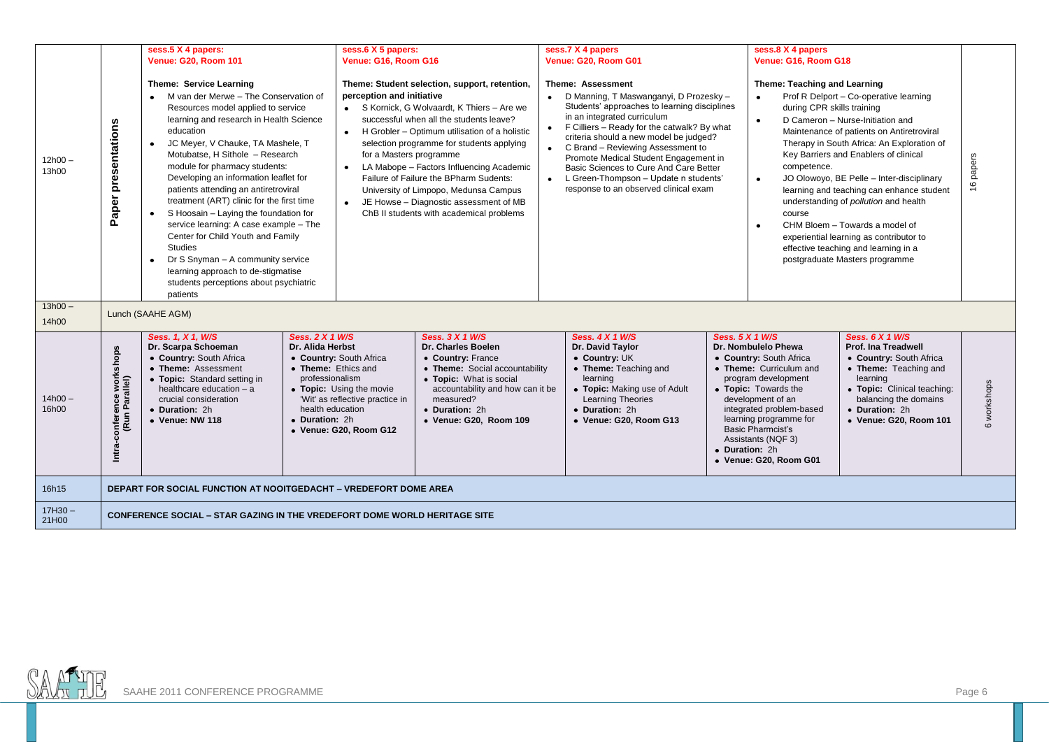|                    |                                                                                                                                                                                                                                                                                                                                                                                                    | sess.5 X 4 papers:                                                                                                                                                                                                                                                                                                                                                                                                                                                                                                                                                                                                                                                                                                                  |                                                                                                                                         | sess.6 X 5 papers:                                                                                                                                                                                                   |                                                                                                                                                                                                                                                                                                                                                                                                                                                            |                                                                                                                                                                                                                                                                                                                                                                                                                                                      | sess.7 X 4 papers                                                                                                                                                                                                                                                                                                           | sess.8 X 4 papers                                                                                                                                                                                                                                                                                                                                                                                                                                                                                                                                                                                                                                                                  |             |           |
|--------------------|----------------------------------------------------------------------------------------------------------------------------------------------------------------------------------------------------------------------------------------------------------------------------------------------------------------------------------------------------------------------------------------------------|-------------------------------------------------------------------------------------------------------------------------------------------------------------------------------------------------------------------------------------------------------------------------------------------------------------------------------------------------------------------------------------------------------------------------------------------------------------------------------------------------------------------------------------------------------------------------------------------------------------------------------------------------------------------------------------------------------------------------------------|-----------------------------------------------------------------------------------------------------------------------------------------|----------------------------------------------------------------------------------------------------------------------------------------------------------------------------------------------------------------------|------------------------------------------------------------------------------------------------------------------------------------------------------------------------------------------------------------------------------------------------------------------------------------------------------------------------------------------------------------------------------------------------------------------------------------------------------------|------------------------------------------------------------------------------------------------------------------------------------------------------------------------------------------------------------------------------------------------------------------------------------------------------------------------------------------------------------------------------------------------------------------------------------------------------|-----------------------------------------------------------------------------------------------------------------------------------------------------------------------------------------------------------------------------------------------------------------------------------------------------------------------------|------------------------------------------------------------------------------------------------------------------------------------------------------------------------------------------------------------------------------------------------------------------------------------------------------------------------------------------------------------------------------------------------------------------------------------------------------------------------------------------------------------------------------------------------------------------------------------------------------------------------------------------------------------------------------------|-------------|-----------|
|                    |                                                                                                                                                                                                                                                                                                                                                                                                    | <b>Venue: G20, Room 101</b>                                                                                                                                                                                                                                                                                                                                                                                                                                                                                                                                                                                                                                                                                                         |                                                                                                                                         | Venue: G16, Room G16                                                                                                                                                                                                 |                                                                                                                                                                                                                                                                                                                                                                                                                                                            |                                                                                                                                                                                                                                                                                                                                                                                                                                                      | Venue: G20, Room G01                                                                                                                                                                                                                                                                                                        |                                                                                                                                                                                                                                                                                                                                                                                                                                                                                                                                                                                                                                                                                    |             |           |
| $12h00 -$<br>13h00 | presentations<br>Paper                                                                                                                                                                                                                                                                                                                                                                             | <b>Theme: Service Learning</b><br>M van der Merwe - The Conservation of<br>$\bullet$<br>Resources model applied to service<br>learning and research in Health Science<br>education<br>JC Meyer, V Chauke, TA Mashele, T<br>$\bullet$<br>Motubatse, H Sithole - Research<br>module for pharmacy students:<br>Developing an information leaflet for<br>patients attending an antiretroviral<br>treatment (ART) clinic for the first time<br>S Hoosain - Laying the foundation for<br>٠<br>service learning: A case example - The<br>Center for Child Youth and Family<br><b>Studies</b><br>Dr S Snyman - A community service<br>$\bullet$<br>learning approach to de-stigmatise<br>students perceptions about psychiatric<br>patients |                                                                                                                                         | perception and initiative<br>$\bullet$<br>for a Masters programme<br>$\bullet$<br>$\bullet$                                                                                                                          | Theme: Student selection, support, retention,<br>• S Kornick, G Wolvaardt, K Thiers - Are we<br>successful when all the students leave?<br>H Grobler - Optimum utilisation of a holistic<br>selection programme for students applying<br>LA Mabope - Factors Influencing Academic<br>Failure of Failure the BPharm Sudents:<br>University of Limpopo, Medunsa Campus<br>JE Howse - Diagnostic assessment of MB<br>ChB II students with academical problems | <b>Theme: Assessment</b><br>D Manning, T Maswanganyi, D Prozesky -<br>Students' approaches to learning disciplines<br>in an integrated curriculum<br>F Cilliers - Ready for the catwalk? By what<br>criteria should a new model be judged?<br>C Brand - Reviewing Assessment to<br>Promote Medical Student Engagement in<br>Basic Sciences to Cure And Care Better<br>L Green-Thompson - Update n students'<br>response to an observed clinical exam |                                                                                                                                                                                                                                                                                                                             | Venue: G16, Room G18<br>Theme: Teaching and Learning<br>Prof R Delport - Co-operative learning<br>$\bullet$<br>during CPR skills training<br>D Cameron - Nurse-Initiation and<br>$\bullet$<br>Maintenance of patients on Antiretroviral<br>Therapy in South Africa: An Exploration of<br>Key Barriers and Enablers of clinical<br>competence.<br>JO Olowoyo, BE Pelle - Inter-disciplinary<br>$\bullet$<br>learning and teaching can enhance student<br>understanding of <i>pollution</i> and health<br>course<br>CHM Bloem - Towards a model of<br>$\bullet$<br>experiential learning as contributor to<br>effective teaching and learning in a<br>postgraduate Masters programme |             | 16 papers |
| $13h00 -$<br>14h00 |                                                                                                                                                                                                                                                                                                                                                                                                    | Lunch (SAAHE AGM)                                                                                                                                                                                                                                                                                                                                                                                                                                                                                                                                                                                                                                                                                                                   |                                                                                                                                         |                                                                                                                                                                                                                      |                                                                                                                                                                                                                                                                                                                                                                                                                                                            |                                                                                                                                                                                                                                                                                                                                                                                                                                                      |                                                                                                                                                                                                                                                                                                                             |                                                                                                                                                                                                                                                                                                                                                                                                                                                                                                                                                                                                                                                                                    |             |           |
| 14h00-<br>16h00    | Sess. 1, X 1, W/S<br>Sess. 2 X 1 W/S<br>Dr. Scarpa Schoeman<br>Dr. Alida Herbst<br>workshops<br>• Country: South Africa<br>• Theme: Assessment<br>professionalism<br>• Topic: Standard setting in<br>arallel)<br>healthcare education - a<br><b>ვ</b><br>crucial consideration<br>onferend<br>(Run Pa<br>health education<br>• Duration: 2h<br>• Duration: 2h<br>• Venue: NW 118<br>შ<br>ზ<br>İntr |                                                                                                                                                                                                                                                                                                                                                                                                                                                                                                                                                                                                                                                                                                                                     | • Country: South Africa<br>• Theme: Ethics and<br>• Topic: Using the movie<br>'Wit' as reflective practice in<br>• Venue: G20, Room G12 | Sess. 3 X 1 W/S<br>Dr. Charles Boelen<br>• Country: France<br>• Theme: Social accountability<br>• Topic: What is social<br>accountability and how can it be<br>measured?<br>• Duration: 2h<br>• Venue: G20, Room 109 |                                                                                                                                                                                                                                                                                                                                                                                                                                                            | <b>Sess. 4 X 1 W/S</b><br>Dr. David Taylor<br>• Country: UK<br>• Theme: Teaching and<br>learning<br>• Topic: Making use of Adult<br><b>Learning Theories</b><br>• Duration: 2h<br>• Venue: G20, Room G13                                                                                                                                                                                                                                             | <b>Sess. 5 X 1 W/S</b><br>Dr. Nombulelo Phewa<br>• Country: South Africa<br>• Theme: Curriculum and<br>program development<br>• Topic: Towards the<br>development of an<br>integrated problem-based<br>learning programme for<br><b>Basic Pharmcist's</b><br>Assistants (NQF 3)<br>• Duration: 2h<br>• Venue: G20, Room G01 | Sess. 6 X 1 W/S<br><b>Prof. Ina Treadwell</b><br>• Country: South Africa<br>• Theme: Teaching and<br>learning<br>• Topic: Clinical teaching:<br>balancing the domains<br>• Duration: 2h<br>• Venue: G20, Room 101                                                                                                                                                                                                                                                                                                                                                                                                                                                                  | 5 workshops |           |
| 16h15              | DEPART FOR SOCIAL FUNCTION AT NOOITGEDACHT - VREDEFORT DOME AREA                                                                                                                                                                                                                                                                                                                                   |                                                                                                                                                                                                                                                                                                                                                                                                                                                                                                                                                                                                                                                                                                                                     |                                                                                                                                         |                                                                                                                                                                                                                      |                                                                                                                                                                                                                                                                                                                                                                                                                                                            |                                                                                                                                                                                                                                                                                                                                                                                                                                                      |                                                                                                                                                                                                                                                                                                                             |                                                                                                                                                                                                                                                                                                                                                                                                                                                                                                                                                                                                                                                                                    |             |           |
| $17H30 -$<br>21H00 | <b>CONFERENCE SOCIAL - STAR GAZING IN THE VREDEFORT DOME WORLD HERITAGE SITE</b>                                                                                                                                                                                                                                                                                                                   |                                                                                                                                                                                                                                                                                                                                                                                                                                                                                                                                                                                                                                                                                                                                     |                                                                                                                                         |                                                                                                                                                                                                                      |                                                                                                                                                                                                                                                                                                                                                                                                                                                            |                                                                                                                                                                                                                                                                                                                                                                                                                                                      |                                                                                                                                                                                                                                                                                                                             |                                                                                                                                                                                                                                                                                                                                                                                                                                                                                                                                                                                                                                                                                    |             |           |